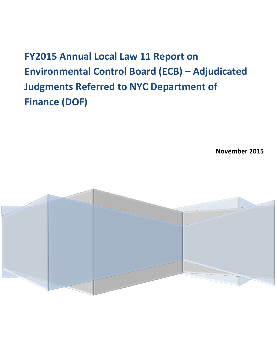**FY2015 Annual Local Law 11 Report on Environmental Control Board (ECB) – Adjudicated Judgments Referred to NYC Department of Finance (DOF)**

**November 2015**

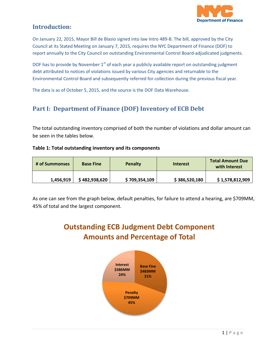

### **Introduction:**

On January 22, 2015, Mayor Bill de Blasio signed into law Intro 489-B. The bill, approved by the City Council at its Stated Meeting on January 7, 2015, requires the NYC Department of Finance (DOF) to report annually to the City Council on outstanding Environmental Control Board-adjudicated judgments.

DOF has to provide by November  $1<sup>st</sup>$  of each year a publicly available report on outstanding judgment debt attributed to notices of violations issued by various City agencies and returnable to the Environmental Control Board and subsequently referred for collection during the previous fiscal year.

The data is as of October 5, 2015, and the source is the DOF Data Warehouse.

# **Part I: Department of Finance (DOF) Inventory of ECB Debt**

The total outstanding inventory comprised of both the number of violations and dollar amount can be seen in the tables below.

#### **Table 1: Total outstanding inventory and its components**

| # of Summonses | <b>Base Fine</b> | <b>Penalty</b> | Interest      | <b>Total Amount Due</b><br>with Interest |
|----------------|------------------|----------------|---------------|------------------------------------------|
| 1,456,919      | \$482,938,620    | \$709,354,109  | \$386,520,180 | \$1,578,812,909                          |

As one can see from the graph below, default penalties, for failure to attend a hearing, are \$709MM, 45% of total and the largest component.

# **Outstanding ECB Judgment Debt Component Amounts and Percentage of Total**

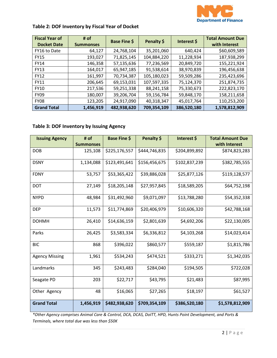

### **Table 2: DOF Inventory by Fiscal Year of Docket**

| <b>Fiscal Year of</b><br><b>Docket Date</b> | # of<br><b>Summonses</b> | <b>Base Fine \$</b> | Penalty \$  | Interest \$ | <b>Total Amount Due</b><br>with Interest |
|---------------------------------------------|--------------------------|---------------------|-------------|-------------|------------------------------------------|
| FY16 to Date                                | 64,127                   | 24,768,104          | 35,201,060  | 640,424     | \$60,609,589                             |
| <b>FY15</b>                                 | 193,027                  | 71,825,145          | 104,884,220 | 11,228,934  | 187,938,299                              |
| <b>FY14</b>                                 | 146,358                  | 57,135,636          | 77,236,569  | 20,849,720  | 155,221,924                              |
| <b>FY13</b>                                 | 164,017                  | 65,947,185          | 91,538,614  | 38,970,839  | 196,456,638                              |
| <b>FY12</b>                                 | 161,997                  | 70,734,387          | 105,180,023 | 59,509,286  | 235,423,696                              |
| <b>FY11</b>                                 | 206,645                  | 69,153,031          | 107,597,335 | 75,124,370  | 251,874,735                              |
| <b>FY10</b>                                 | 217,536                  | 59,251,338          | 88,241,158  | 75,330,673  | 222,823,170                              |
| <b>FY09</b>                                 | 180,007                  | 39,206,704          | 59,156,784  | 59,848,170  | 158,211,658                              |
| <b>FY08</b>                                 | 123,205                  | 24,917,090          | 40,318,347  | 45,017,764  | 110,253,200                              |
| <b>Grand Total</b>                          | 1,456,919                | 482,938,620         | 709,354,109 | 386,520,180 | 1,578,812,909                            |

#### **Table 3: DOF Inventory by Issuing Agency**

| <b>Issuing Agency</b> | # of<br><b>Summonses</b> | <b>Base Fine \$</b> | Penalty \$    | Interest \$   | <b>Total Amount Due</b><br>with Interest |
|-----------------------|--------------------------|---------------------|---------------|---------------|------------------------------------------|
| <b>DOB</b>            | 125,108                  | \$225,176,557       | \$444,746,835 | \$204,899,892 | \$874,823,283                            |
| <b>DSNY</b>           | 1,134,088                | \$123,491,641       | \$156,456,675 | \$102,837,239 | \$382,785,555                            |
| <b>FDNY</b>           | 53,757                   | \$53,365,422        | \$39,886,028  | \$25,877,126  | \$119,128,577                            |
| <b>DOT</b>            | 27,149                   | \$18,205,148        | \$27,957,845  | \$18,589,205  | \$64,752,198                             |
| <b>NYPD</b>           | 48,984                   | \$31,492,960        | \$9,071,097   | \$13,788,280  | \$54,352,338                             |
| <b>DEP</b>            | 11,573                   | \$11,774,869        | \$20,406,979  | \$10,606,320  | \$42,788,168                             |
| <b>DOHMH</b>          | 26,410                   | \$14,636,159        | \$2,801,639   | \$4,692,206   | \$22,130,005                             |
| Parks                 | 26,425                   | \$3,583,334         | \$6,336,812   | \$4,103,268   | \$14,023,414                             |
| <b>BIC</b>            | 868                      | \$396,022           | \$860,577     | \$559,187     | \$1,815,786                              |
| <b>Agency Missing</b> | 1,961                    | \$534,243           | \$474,521     | \$333,271     | \$1,342,035                              |
| Landmarks             | 345                      | \$243,483           | \$284,040     | \$194,505     | \$722,028                                |
| Seagate PD            | 203                      | \$22,717            | \$43,795      | \$21,483      | \$87,995                                 |
| Other Agency          | 48                       | \$16,065            | \$27,265      | \$18,197      | \$61,527                                 |
| <b>Grand Total</b>    | 1,456,919                | \$482,938,620       | \$709,354,109 | \$386,520,180 | \$1,578,812,909                          |

*\*Other Agency comprises Animal Care & Control, DCA, DCAS, DoITT, HPD, Hunts Point Development, and Ports & Terminals, where total due was less than \$50K*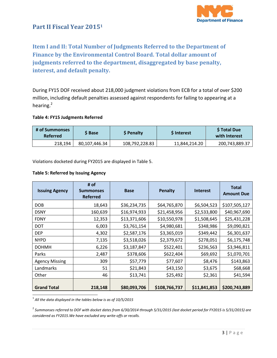

### **Part II Fiscal Year 2015<sup>1</sup>**

# **Item I and II: Total Number of Judgments Referred to the Department of Finance by the Environmental Control Board. Total dollar amount of judgments referred to the department, disaggregated by base penalty, interest, and default penalty.**

During FY15 DOF received about 218,000 judgment violations from ECB for a total of over \$200 million, including default penalties assessed against respondents for failing to appearing at a hearing.<sup>2</sup>

#### **Table 4: FY15 Judgments Referred**

| # of Summonses<br><b>Referred</b> | S Base        | <b>S</b> Penalty | <b>S</b> Interest | \$ Total Due<br>with Interest |
|-----------------------------------|---------------|------------------|-------------------|-------------------------------|
| 218.194                           | 80,107,446.34 | 108,792,228.83   | 11.844.214.20     | 200,743,889.37                |

Violations docketed during FY2015 are displayed in Table 5.

#### **Table 5: Referred by Issuing Agency**

| <b>Issuing Agency</b> | # of<br><b>Summonses</b><br><b>Referred</b> | <b>Base</b>  | <b>Penalty</b> | <b>Interest</b> | <b>Total</b><br><b>Amount Due</b> |
|-----------------------|---------------------------------------------|--------------|----------------|-----------------|-----------------------------------|
| <b>DOB</b>            | 18,643                                      | \$36,234,735 | \$64,765,870   | \$6,504,523     | \$107,505,127                     |
| <b>DSNY</b>           | 160,639                                     | \$16,974,933 | \$21,458,956   | \$2,533,800     | \$40,967,690                      |
| <b>FDNY</b>           | 12,353                                      | \$13,371,606 | \$10,550,978   | \$1,508,645     | \$25,431,228                      |
| <b>DOT</b>            | 6,003                                       | \$3,761,154  | \$4,980,681    | \$348,986       | \$9,090,821                       |
| <b>DEP</b>            | 4,302                                       | \$2,587,176  | \$3,365,019    | \$349,442       | \$6,301,637                       |
| <b>NYPD</b>           | 7,135                                       | \$3,518,026  | \$2,379,672    | \$278,051       | \$6,175,748                       |
| <b>DOHMH</b>          | 6,226                                       | \$3,187,847  | \$522,401      | \$236,563       | \$3,946,811                       |
| Parks                 | 2,487                                       | \$378,606    | \$622,404      | \$69,692        | \$1,070,701                       |
| <b>Agency Missing</b> | 309                                         | \$57,779     | \$77,607       | \$8,476         | \$143,863                         |
| Landmarks             | 51                                          | \$21,843     | \$43,150       | \$3,675         | \$68,668                          |
| Other                 | 46                                          | \$13,741     | \$25,492       | \$2,361         | \$41,594                          |
| <b>Grand Total</b>    | 218,148                                     | \$80,093,706 | \$108,766,737  | \$11,841,853    | \$200,743,889                     |

 $\overline{\phantom{a}}$ 1 *All the data displayed in the tables below is as of 10/5/2015*

2 *Summonses referred to DOF with docket dates from 6/30/2014 through 5/31/2015 (last docket period for FY2015 is 5/31/2015) are considered as FY2015.We have excluded any write-offs or recalls.*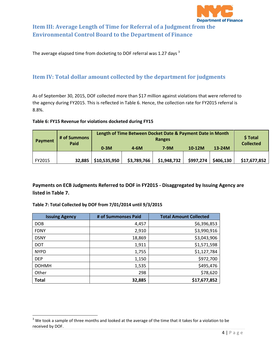

# **Item III: Average Length of Time for Referral of a Judgment from the Environmental Control Board to the Department of Finance**

The average elapsed time from docketing to DOF referral was 1.27 days  $3$ 

### **Item IV: Total dollar amount collected by the department for judgments**

As of September 30, 2015, DOF collected more than \$17 million against violations that were referred to the agency during FY2015. This is reflected in Table 6. Hence, the collection rate for FY2015 referral is 8.8%.

#### **Table 6: FY15 Revenue for violations docketed during FY15**

| Payment | # of Summons<br>Paid | Length of Time Between Docket Date & Payment Date in Month<br>Ranges |             |             |           |           | \$ Total<br><b>Collected</b> |
|---------|----------------------|----------------------------------------------------------------------|-------------|-------------|-----------|-----------|------------------------------|
|         |                      | $0-3M$                                                               | $4-6M$      | $7-9M$      | $10-12M$  | $13-24M$  |                              |
|         |                      |                                                                      |             |             |           |           |                              |
| FY2015  | 32,885               | \$10,535,950                                                         | \$3,789,766 | \$1,948,732 | \$997,274 | \$406,130 | \$17,677,852                 |

**Payments on ECB Judgments Referred to DOF in FY2015 - Disaggregated by Issuing Agency are listed in Table 7.**

#### **Table 7: Total Collected by DOF from 7/01/2014 until 9/3/2015**

 $\overline{\phantom{a}}$ 

| <b>Issuing Agency</b> | # of Summonses Paid | <b>Total Amount Collected</b> |
|-----------------------|---------------------|-------------------------------|
| <b>DOB</b>            | 4,457               | \$6,396,853                   |
| <b>FDNY</b>           | 2,910               | \$3,990,916                   |
| <b>DSNY</b>           | 18,869              | \$3,043,906                   |
| <b>DOT</b>            | 1,911               | \$1,571,598                   |
| <b>NYPD</b>           | 1,755               | \$1,127,784                   |
| <b>DEP</b>            | 1,150               | \$972,700                     |
| <b>DOHMH</b>          | 1,535               | \$495,476                     |
| Other                 | 298                 | \$78,620                      |
| <b>Total</b>          | 32,885              | \$17,677,852                  |

 $3$  We took a sample of three months and looked at the average of the time that it takes for a violation to be received by DOF.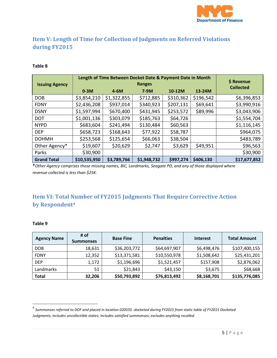

# **Item V: Length of Time for Collection of Judgments on Referred Violations during FY2015**

#### **Table 8**

| <b>Issuing Agency</b> | Length of Time Between Docket Date & Payment Date in Month | \$ Revenue  |             |           |           |                  |
|-----------------------|------------------------------------------------------------|-------------|-------------|-----------|-----------|------------------|
|                       | $0-3M$                                                     | $4-6M$      | $7-9M$      | 10-12M    | 13-24M    | <b>Collected</b> |
| <b>DOB</b>            | \$3,854,210                                                | \$1,322,855 | \$712,885   | \$310,362 | \$196,542 | \$6,396,853      |
| <b>FDNY</b>           | \$2,436,208                                                | \$937,014   | \$340,923   | \$207,131 | \$69,641  | \$3,990,916      |
| <b>DSNY</b>           | \$1,597,994                                                | \$670,400   | \$431,945   | \$253,572 | \$89,996  | \$3,043,906      |
| <b>DOT</b>            | \$1,001,136                                                | \$303,079   | \$185,763   | \$64,726  |           | \$1,554,704      |
| <b>NYPD</b>           | \$683,604                                                  | \$241,494   | \$130,484   | \$60,563  |           | \$1,116,145      |
| <b>DEP</b>            | \$658,723                                                  | \$168,643   | \$77,922    | \$58,787  |           | \$964,075        |
| <b>DOHMH</b>          | \$253,568                                                  | \$125,654   | \$66,063    | \$38,504  |           | \$483,789        |
| Other Agency*         | \$19,607                                                   | \$20,629    | \$2,747     | \$3,629   | \$49,951  | \$96,563         |
| Parks                 | \$30,900                                                   |             |             |           |           | \$30,900         |
| <b>Grand Total</b>    | \$10,535,950                                               | \$3,789,766 | \$1,948,732 | \$997,274 | \$406,130 | \$17,677,852     |

**\****Other Agency comprises those missing names, BIC, Landmarks, Seagate PD, and any of those displayed where revenue collected is less than \$25K.*

### **Item VI: Total Number of FY2015 Judgments That Require Corrective Action by Respondent<sup>4</sup>**

#### **Table 9**

| <b>Agency Name</b> | # of<br><b>Summonses</b> | <b>Base Fine</b> | <b>Penalties</b> | <b>Interest</b> | <b>Total Amount</b> |
|--------------------|--------------------------|------------------|------------------|-----------------|---------------------|
| <b>DOB</b>         | 18,631                   | \$36,203,772     | \$64,697,907     | \$6,498,476     | \$107,400,155       |
| <b>FDNY</b>        | 12,352                   | \$13,371,581     | \$10,550,978     | \$1,508,642     | \$25,431,201        |
| <b>DEP</b>         | 1,172                    | \$1,196,696      | \$1,521,457      | \$157,908       | \$2,876,062         |
| Landmarks          | 51                       | \$21,843         | \$43,150         | \$3,675         | \$68,668            |
| Total              | 32,206                   | \$50,793,892     | \$76,813,492     | \$8,168,701     | \$135,776,085       |

 4 *Summonses referred to DOF and placed in location 020555 -docketed during FY2015 from static table of FY2015 Docketed Judgments; includes uncollectible states; includes satisfied summonses; excludes anything recalled.*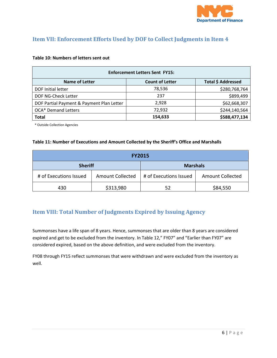

### **Item VII: Enforcement Efforts Used by DOF to Collect Judgments in Item 4**

#### **Table 10: Numbers of letters sent out**

| <b>Enforcement Letters Sent FY15:</b>                                 |         |               |  |  |  |  |  |
|-----------------------------------------------------------------------|---------|---------------|--|--|--|--|--|
| Total \$ Addressed<br><b>Count of Letter</b><br><b>Name of Letter</b> |         |               |  |  |  |  |  |
| <b>DOF Initial letter</b>                                             | 78,536  | \$280,768,764 |  |  |  |  |  |
| DOF NG-Check Letter                                                   | 237     | \$899,499     |  |  |  |  |  |
| DOF Partial Payment & Payment Plan Letter                             | 2,928   | \$62,668,307  |  |  |  |  |  |
| <b>OCA*</b> Demand Letters                                            | 72,932  | \$244,140,564 |  |  |  |  |  |
| <b>Total</b>                                                          | 154,633 | \$588,477,134 |  |  |  |  |  |

\* Outside Collection Agencies

#### **Table 11: Number of Executions and Amount Collected by the Sheriff's Office and Marshalls**

| <b>FY2015</b>          |                         |                        |                         |  |  |
|------------------------|-------------------------|------------------------|-------------------------|--|--|
| <b>Sheriff</b>         |                         | <b>Marshals</b>        |                         |  |  |
| # of Executions Issued | <b>Amount Collected</b> | # of Executions Issued | <b>Amount Collected</b> |  |  |
| 430                    | \$313,980               | 52                     | \$84,550                |  |  |

### **Item VIII: Total Number of Judgments Expired by Issuing Agency**

Summonses have a life span of 8 years. Hence, summonses that are older than 8 years are considered expired and get to be excluded from the inventory. In Table 12," FY07" and "Earlier than FY07" are considered expired, based on the above definition, and were excluded from the inventory.

FY08 through FY15 reflect summonses that were withdrawn and were excluded from the inventory as well.